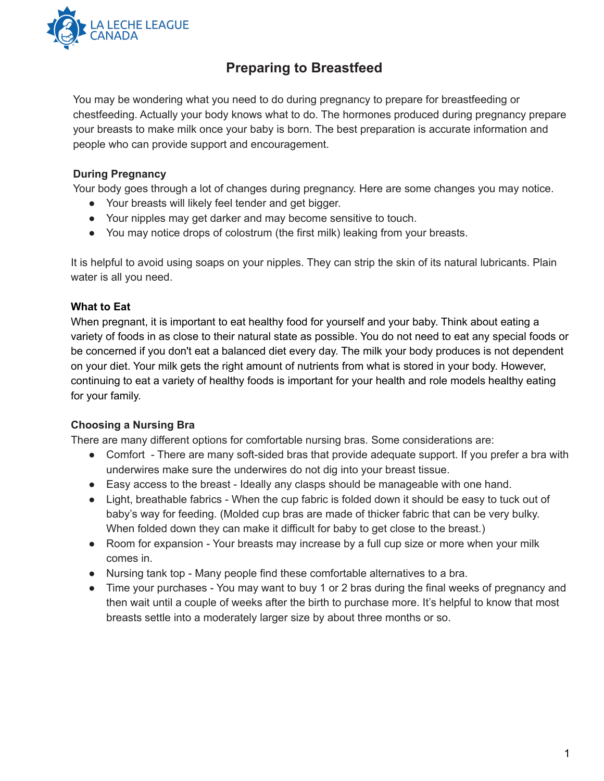

# **Preparing to Breastfeed**

You may be wondering what you need to do during pregnancy to prepare for breastfeeding or chestfeeding. Actually your body knows what to do. The hormones produced during pregnancy prepare your breasts to make milk once your baby is born. The best preparation is accurate information and people who can provide support and encouragement.

## **During Pregnancy**

Your body goes through a lot of changes during pregnancy. Here are some changes you may notice.

- Your breasts will likely feel tender and get bigger.
- Your nipples may get darker and may become sensitive to touch.
- You may notice drops of colostrum (the first milk) leaking from your breasts.

It is helpful to avoid using soaps on your nipples. They can strip the skin of its natural lubricants. Plain water is all you need.

#### **What to Eat**

When pregnant, it is important to eat healthy food for yourself and your baby. Think about eating a variety of foods in as close to their natural state as possible. You do not need to eat any special foods or be concerned if you don't eat a balanced diet every day. The milk your body produces is not dependent on your diet. Your milk gets the right amount of nutrients from what is stored in your body. However, continuing to eat a variety of healthy foods is important for your health and role models healthy eating for your family.

#### **Choosing a Nursing Bra**

There are many different options for comfortable nursing bras. Some considerations are:

- Comfort There are many soft-sided bras that provide adequate support. If you prefer a bra with underwires make sure the underwires do not dig into your breast tissue.
- Easy access to the breast Ideally any clasps should be manageable with one hand.
- Light, breathable fabrics When the cup fabric is folded down it should be easy to tuck out of baby's way for feeding. (Molded cup bras are made of thicker fabric that can be very bulky. When folded down they can make it difficult for baby to get close to the breast.)
- Room for expansion Your breasts may increase by a full cup size or more when your milk comes in.
- Nursing tank top Many people find these comfortable alternatives to a bra.
- Time your purchases You may want to buy 1 or 2 bras during the final weeks of pregnancy and then wait until a couple of weeks after the birth to purchase more. It's helpful to know that most breasts settle into a moderately larger size by about three months or so.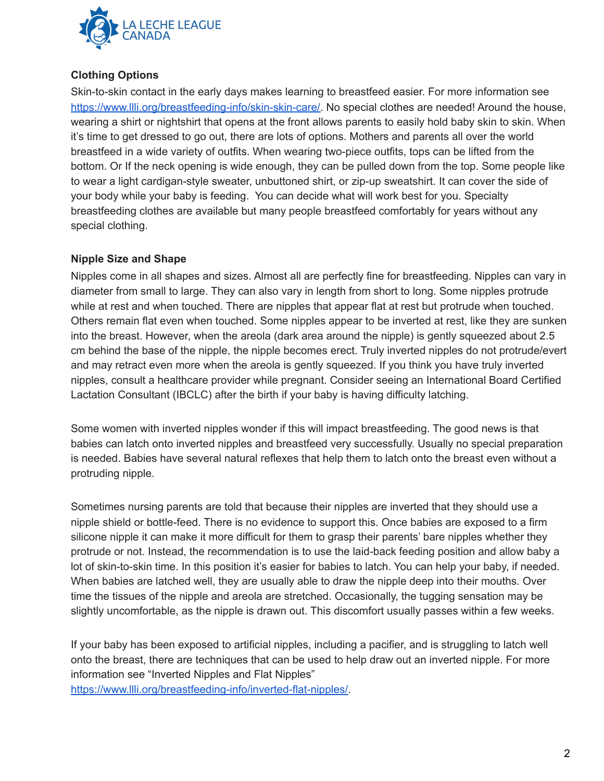

## **Clothing Options**

Skin-to-skin contact in the early days makes learning to breastfeed easier. For more information see [https://www.llli.org/breastfeeding-info/skin-skin-care/.](https://www.llli.org/breastfeeding-info/skin-skin-care/) No special clothes are needed! Around the house, wearing a shirt or nightshirt that opens at the front allows parents to easily hold baby skin to skin. When it's time to get dressed to go out, there are lots of options. Mothers and parents all over the world breastfeed in a wide variety of outfits. When wearing two-piece outfits, tops can be lifted from the bottom. Or If the neck opening is wide enough, they can be pulled down from the top. Some people like to wear a light cardigan-style sweater, unbuttoned shirt, or zip-up sweatshirt. It can cover the side of your body while your baby is feeding. You can decide what will work best for you. Specialty breastfeeding clothes are available but many people breastfeed comfortably for years without any special clothing.

#### **Nipple Size and Shape**

Nipples come in all shapes and sizes. Almost all are perfectly fine for breastfeeding. Nipples can vary in diameter from small to large. They can also vary in length from short to long. Some nipples protrude while at rest and when touched. There are nipples that appear flat at rest but protrude when touched. Others remain flat even when touched. Some nipples appear to be inverted at rest, like they are sunken into the breast. However, when the areola (dark area around the nipple) is gently squeezed about 2.5 cm behind the base of the nipple, the nipple becomes erect. Truly inverted nipples do not protrude/evert and may retract even more when the areola is gently squeezed. If you think you have truly inverted nipples, consult a healthcare provider while pregnant. Consider seeing an International Board Certified Lactation Consultant (IBCLC) after the birth if your baby is having difficulty latching.

Some women with inverted nipples wonder if this will impact breastfeeding. The good news is that babies can latch onto inverted nipples and breastfeed very successfully. Usually no special preparation is needed. Babies have several natural reflexes that help them to latch onto the breast even without a protruding nipple.

Sometimes nursing parents are told that because their nipples are inverted that they should use a nipple shield or bottle-feed. There is no evidence to support this. Once babies are exposed to a firm silicone nipple it can make it more difficult for them to grasp their parents' bare nipples whether they protrude or not. Instead, the recommendation is to use the laid-back feeding position and allow baby a lot of skin-to-skin time. In this position it's easier for babies to latch. You can help your baby, if needed. When babies are latched well, they are usually able to draw the nipple deep into their mouths. Over time the tissues of the nipple and areola are stretched. Occasionally, the tugging sensation may be slightly uncomfortable, as the nipple is drawn out. This discomfort usually passes within a few weeks.

If your baby has been exposed to artificial nipples, including a pacifier, and is struggling to latch well onto the breast, there are techniques that can be used to help draw out an inverted nipple. For more information see "Inverted Nipples and Flat Nipples"

[https://www.llli.org/breastfeeding-info/inverted-flat-nipples/.](https://www.llli.org/breastfeeding-info/inverted-flat-nipples/)